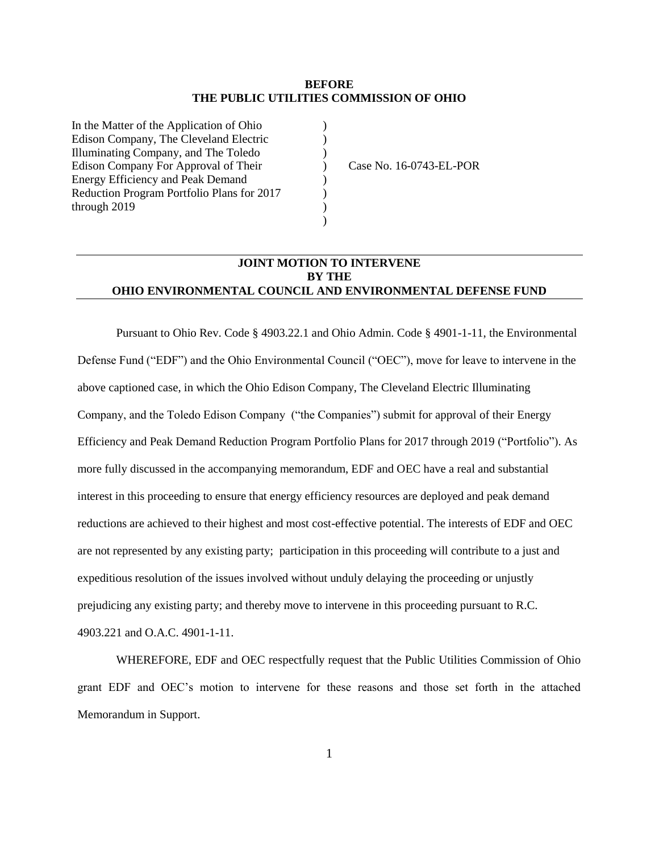#### **BEFORE THE PUBLIC UTILITIES COMMISSION OF OHIO**

)  $\lambda$ )  $\overline{)}$ ) ) )  $\lambda$ 

In the Matter of the Application of Ohio Edison Company, The Cleveland Electric Illuminating Company, and The Toledo Edison Company For Approval of Their Energy Efficiency and Peak Demand Reduction Program Portfolio Plans for 2017 through 2019

Case No. 16-0743-EL-POR

### **JOINT MOTION TO INTERVENE BY THE OHIO ENVIRONMENTAL COUNCIL AND ENVIRONMENTAL DEFENSE FUND**

Pursuant to Ohio Rev. Code § 4903.22.1 and Ohio Admin. Code § 4901-1-11, the Environmental Defense Fund ("EDF") and the Ohio Environmental Council ("OEC"), move for leave to intervene in the above captioned case, in which the Ohio Edison Company, The Cleveland Electric Illuminating Company, and the Toledo Edison Company ("the Companies") submit for approval of their Energy Efficiency and Peak Demand Reduction Program Portfolio Plans for 2017 through 2019 ("Portfolio"). As more fully discussed in the accompanying memorandum, EDF and OEC have a real and substantial interest in this proceeding to ensure that energy efficiency resources are deployed and peak demand reductions are achieved to their highest and most cost-effective potential. The interests of EDF and OEC are not represented by any existing party; participation in this proceeding will contribute to a just and expeditious resolution of the issues involved without unduly delaying the proceeding or unjustly prejudicing any existing party; and thereby move to intervene in this proceeding pursuant to R.C. 4903.221 and O.A.C. 4901-1-11.

WHEREFORE, EDF and OEC respectfully request that the Public Utilities Commission of Ohio grant EDF and OEC's motion to intervene for these reasons and those set forth in the attached Memorandum in Support.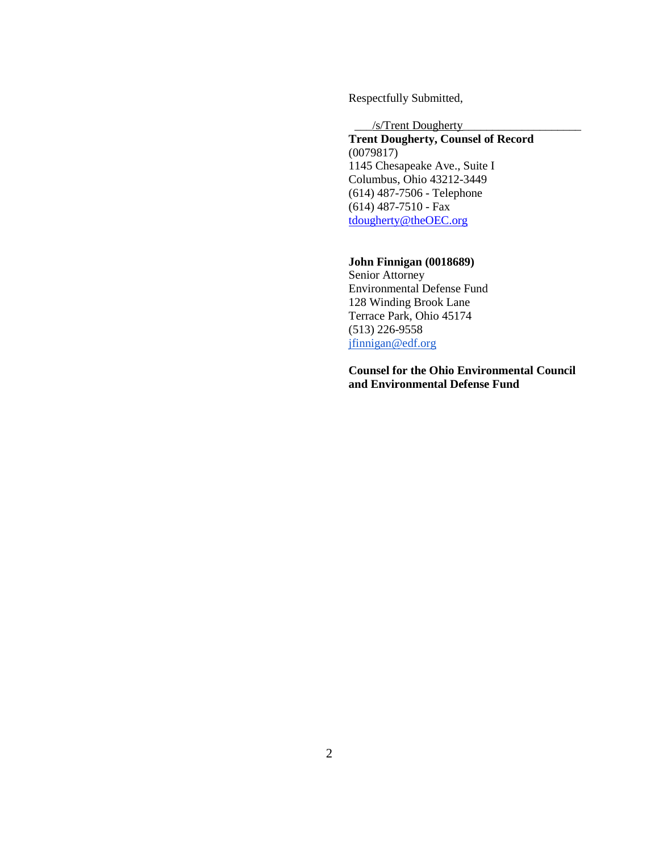Respectfully Submitted,

\_\_\_/s/Trent Dougherty\_\_\_\_\_\_\_\_\_\_\_\_\_\_\_\_\_\_\_\_

**Trent Dougherty, Counsel of Record** (0079817) 1145 Chesapeake Ave., Suite I Columbus, Ohio 43212-3449 (614) 487-7506 - Telephone (614) 487-7510 - Fax [tdougherty@theOEC.org](mailto:tdougherty@theOEC.org)

#### **John Finnigan (0018689)**

Senior Attorney Environmental Defense Fund 128 Winding Brook Lane Terrace Park, Ohio 45174 (513) 226-9558 [jfinnigan@edf.org](mailto:jfinnigan@edf.org)

**Counsel for the Ohio Environmental Council and Environmental Defense Fund**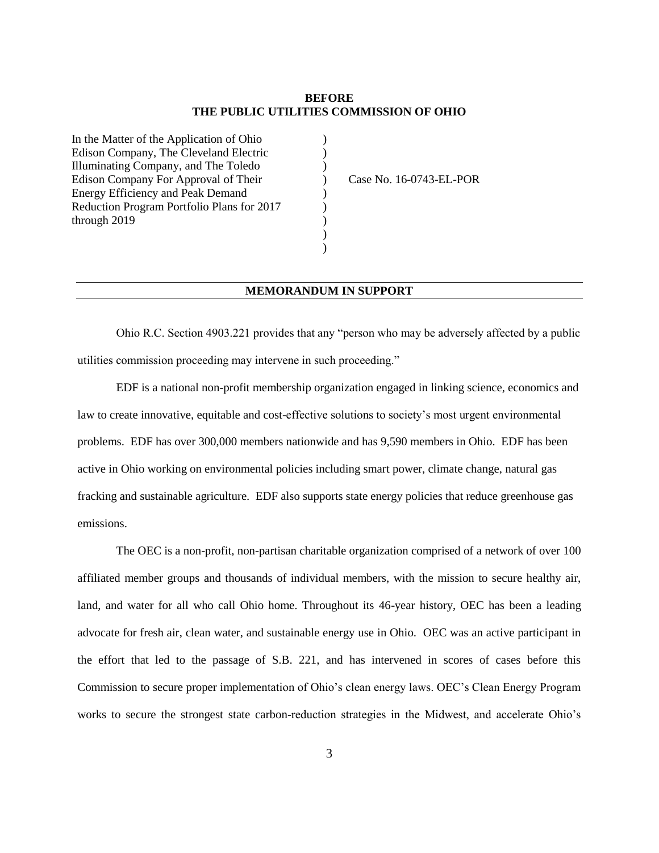#### **BEFORE THE PUBLIC UTILITIES COMMISSION OF OHIO**

)  $\mathcal{L}$  $\lambda$  $\lambda$ ) ) ) ) )

In the Matter of the Application of Ohio Edison Company, The Cleveland Electric Illuminating Company, and The Toledo Edison Company For Approval of Their Energy Efficiency and Peak Demand Reduction Program Portfolio Plans for 2017 through 2019

Case No. 16-0743-EL-POR

#### **MEMORANDUM IN SUPPORT**

Ohio R.C. Section 4903.221 provides that any "person who may be adversely affected by a public utilities commission proceeding may intervene in such proceeding."

EDF is a national non-profit membership organization engaged in linking science, economics and law to create innovative, equitable and cost-effective solutions to society's most urgent environmental problems. EDF has over 300,000 members nationwide and has 9,590 members in Ohio. EDF has been active in Ohio working on environmental policies including smart power, climate change, natural gas fracking and sustainable agriculture. EDF also supports state energy policies that reduce greenhouse gas emissions.

The OEC is a non-profit, non-partisan charitable organization comprised of a network of over 100 affiliated member groups and thousands of individual members, with the mission to secure healthy air, land, and water for all who call Ohio home. Throughout its 46-year history, OEC has been a leading advocate for fresh air, clean water, and sustainable energy use in Ohio. OEC was an active participant in the effort that led to the passage of S.B. 221, and has intervened in scores of cases before this Commission to secure proper implementation of Ohio's clean energy laws. OEC's Clean Energy Program works to secure the strongest state carbon-reduction strategies in the Midwest, and accelerate Ohio's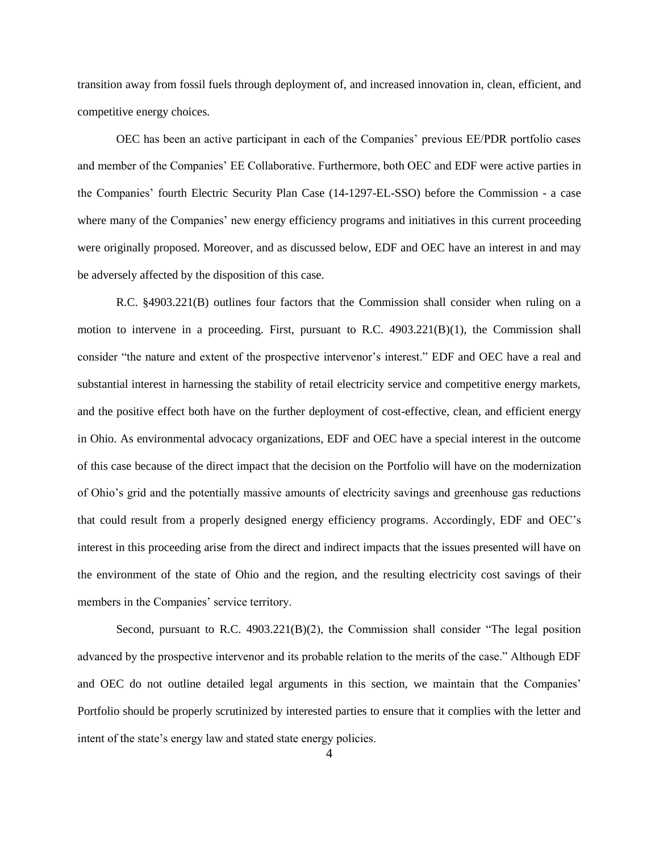transition away from fossil fuels through deployment of, and increased innovation in, clean, efficient, and competitive energy choices.

OEC has been an active participant in each of the Companies' previous EE/PDR portfolio cases and member of the Companies' EE Collaborative. Furthermore, both OEC and EDF were active parties in the Companies' fourth Electric Security Plan Case (14-1297-EL-SSO) before the Commission - a case where many of the Companies' new energy efficiency programs and initiatives in this current proceeding were originally proposed. Moreover, and as discussed below, EDF and OEC have an interest in and may be adversely affected by the disposition of this case.

R.C. §4903.221(B) outlines four factors that the Commission shall consider when ruling on a motion to intervene in a proceeding. First, pursuant to R.C.  $4903.221(B)(1)$ , the Commission shall consider "the nature and extent of the prospective intervenor's interest." EDF and OEC have a real and substantial interest in harnessing the stability of retail electricity service and competitive energy markets, and the positive effect both have on the further deployment of cost-effective, clean, and efficient energy in Ohio. As environmental advocacy organizations, EDF and OEC have a special interest in the outcome of this case because of the direct impact that the decision on the Portfolio will have on the modernization of Ohio's grid and the potentially massive amounts of electricity savings and greenhouse gas reductions that could result from a properly designed energy efficiency programs. Accordingly, EDF and OEC's interest in this proceeding arise from the direct and indirect impacts that the issues presented will have on the environment of the state of Ohio and the region, and the resulting electricity cost savings of their members in the Companies' service territory.

Second, pursuant to R.C. 4903.221(B)(2), the Commission shall consider "The legal position advanced by the prospective intervenor and its probable relation to the merits of the case." Although EDF and OEC do not outline detailed legal arguments in this section, we maintain that the Companies' Portfolio should be properly scrutinized by interested parties to ensure that it complies with the letter and intent of the state's energy law and stated state energy policies.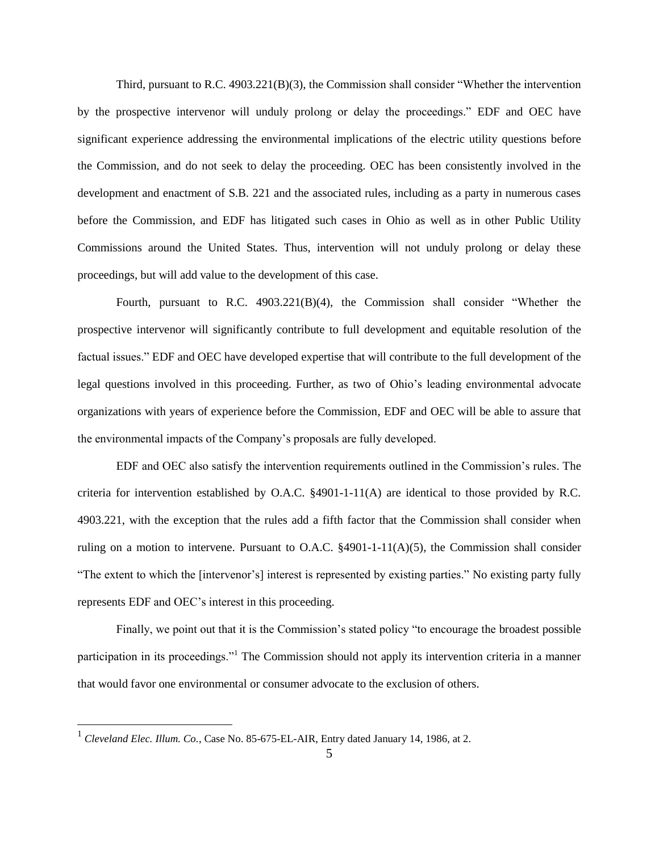Third, pursuant to R.C. 4903.221(B)(3), the Commission shall consider "Whether the intervention by the prospective intervenor will unduly prolong or delay the proceedings." EDF and OEC have significant experience addressing the environmental implications of the electric utility questions before the Commission, and do not seek to delay the proceeding. OEC has been consistently involved in the development and enactment of S.B. 221 and the associated rules, including as a party in numerous cases before the Commission, and EDF has litigated such cases in Ohio as well as in other Public Utility Commissions around the United States. Thus, intervention will not unduly prolong or delay these proceedings, but will add value to the development of this case.

Fourth, pursuant to R.C. 4903.221(B)(4), the Commission shall consider "Whether the prospective intervenor will significantly contribute to full development and equitable resolution of the factual issues." EDF and OEC have developed expertise that will contribute to the full development of the legal questions involved in this proceeding. Further, as two of Ohio's leading environmental advocate organizations with years of experience before the Commission, EDF and OEC will be able to assure that the environmental impacts of the Company's proposals are fully developed.

EDF and OEC also satisfy the intervention requirements outlined in the Commission's rules. The criteria for intervention established by O.A.C. §4901-1-11(A) are identical to those provided by R.C. 4903.221, with the exception that the rules add a fifth factor that the Commission shall consider when ruling on a motion to intervene. Pursuant to O.A.C.  $\S$ 4901-1-11(A)(5), the Commission shall consider "The extent to which the [intervenor's] interest is represented by existing parties." No existing party fully represents EDF and OEC's interest in this proceeding.

Finally, we point out that it is the Commission's stated policy "to encourage the broadest possible participation in its proceedings."<sup>1</sup> The Commission should not apply its intervention criteria in a manner that would favor one environmental or consumer advocate to the exclusion of others.

 $\overline{a}$ 

<sup>&</sup>lt;sup>1</sup> Cleveland Elec. Illum. Co., Case No. 85-675-EL-AIR, Entry dated January 14, 1986, at 2.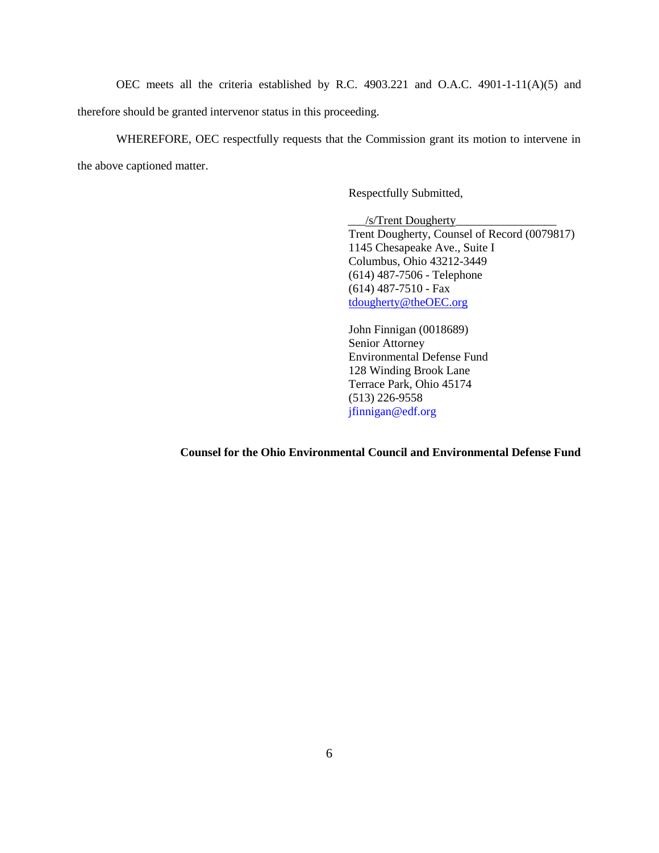OEC meets all the criteria established by R.C. 4903.221 and O.A.C. 4901-1-11(A)(5) and therefore should be granted intervenor status in this proceeding.

WHEREFORE, OEC respectfully requests that the Commission grant its motion to intervene in the above captioned matter.

Respectfully Submitted,

 \_\_\_/s/Trent Dougherty\_\_\_\_\_\_\_\_\_\_\_\_\_\_\_\_\_ Trent Dougherty, Counsel of Record (0079817) 1145 Chesapeake Ave., Suite I Columbus, Ohio 43212-3449 (614) 487-7506 - Telephone (614) 487-7510 - Fax [tdougherty@theOEC.org](mailto:tdougherty@theOEC.org)

John Finnigan (0018689) Senior Attorney Environmental Defense Fund 128 Winding Brook Lane Terrace Park, Ohio 45174 (513) 226-9558 jfinnigan@edf.org

**Counsel for the Ohio Environmental Council and Environmental Defense Fund**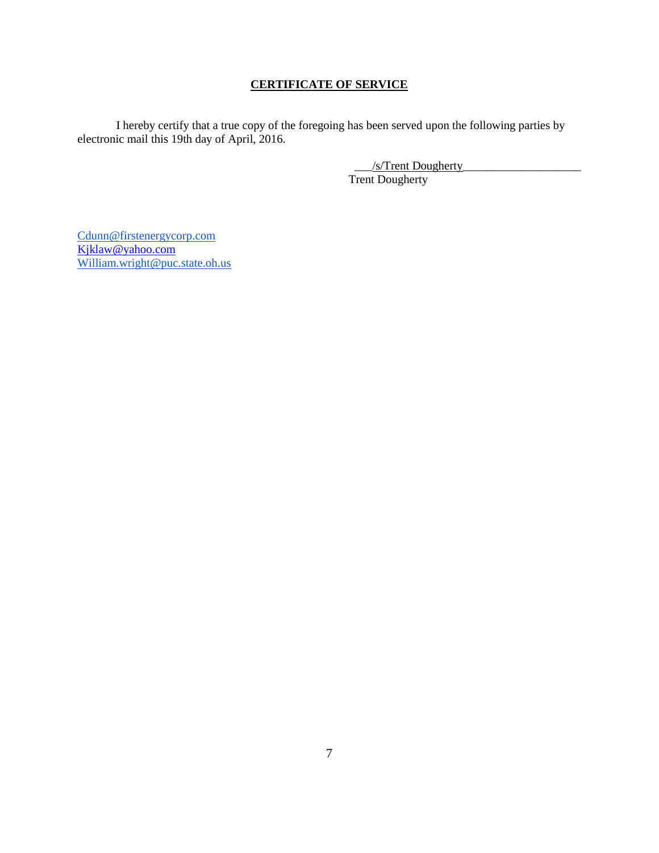## **CERTIFICATE OF SERVICE**

I hereby certify that a true copy of the foregoing has been served upon the following parties by electronic mail this 19th day of April, 2016.

> \_\_\_/s/Trent Dougherty\_\_\_\_\_\_\_\_\_\_\_\_\_\_\_\_\_\_\_\_ Trent Dougherty

[Cdunn@firstenergycorp.com](mailto:Cdunn@firstenergycorp.com) [Kjklaw@yahoo.com](mailto:Kjklaw@yahoo.com) [William.wright@puc.state.oh.us](mailto:William.wright@puc.state.oh.us)